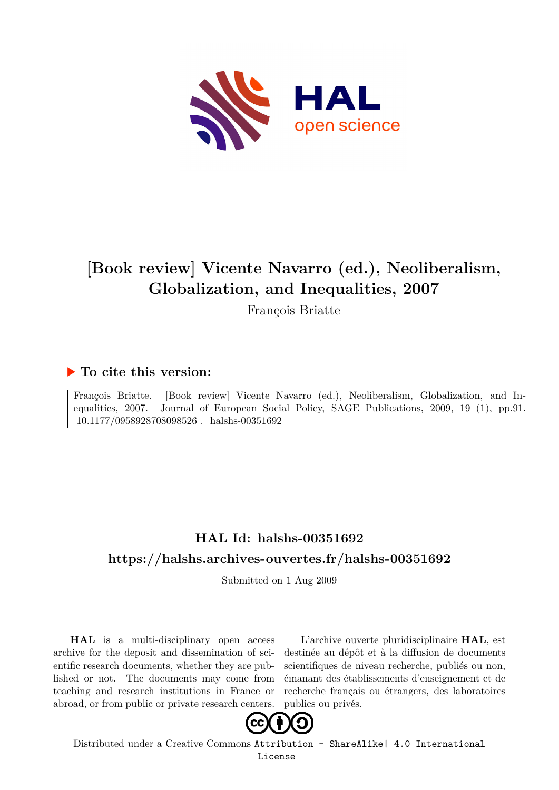

# **[Book review] Vicente Navarro (ed.), Neoliberalism, Globalization, and Inequalities, 2007**

François Briatte

### **To cite this version:**

François Briatte. [Book review] Vicente Navarro (ed.), Neoliberalism, Globalization, and Inequalities, 2007. Journal of European Social Policy, SAGE Publications, 2009, 19 (1), pp.91.  $10.1177/0958928708098526$ . halshs-00351692

## **HAL Id: halshs-00351692 <https://halshs.archives-ouvertes.fr/halshs-00351692>**

Submitted on 1 Aug 2009

**HAL** is a multi-disciplinary open access archive for the deposit and dissemination of scientific research documents, whether they are published or not. The documents may come from teaching and research institutions in France or abroad, or from public or private research centers.

L'archive ouverte pluridisciplinaire **HAL**, est destinée au dépôt et à la diffusion de documents scientifiques de niveau recherche, publiés ou non, émanant des établissements d'enseignement et de recherche français ou étrangers, des laboratoires publics ou privés.



Distributed under a Creative Commons [Attribution - ShareAlike| 4.0 International](http://creativecommons.org/licenses/by-sa/4.0/) [License](http://creativecommons.org/licenses/by-sa/4.0/)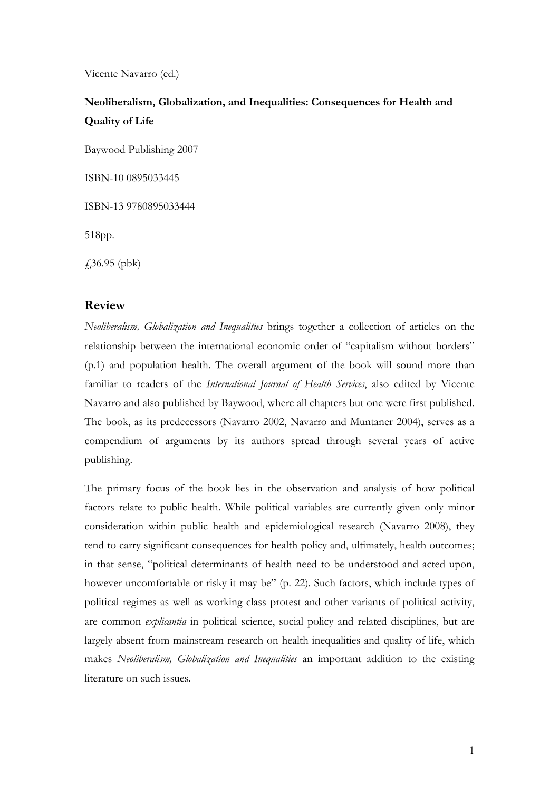Vicente Navarro (ed.)

### **Neoliberalism, Globalization, and Inequalities: Consequences for Health and Quality of Life**

Baywood Publishing 2007

ISBN-10 0895033445

ISBN-13 9780895033444

518pp.

£36.95 (pbk)

### **Review**

*Neoliberalism, Globalization and Inequalities* brings together a collection of articles on the relationship between the international economic order of "capitalism without borders" (p.1) and population health. The overall argument of the book will sound more than familiar to readers of the *International Journal of Health Services*, also edited by Vicente Navarro and also published by Baywood, where all chapters but one were first published. The book, as its predecessors (Navarro 2002, Navarro and Muntaner 2004), serves as a compendium of arguments by its authors spread through several years of active publishing.

The primary focus of the book lies in the observation and analysis of how political factors relate to public health. While political variables are currently given only minor consideration within public health and epidemiological research (Navarro 2008), they tend to carry significant consequences for health policy and, ultimately, health outcomes; in that sense, "political determinants of health need to be understood and acted upon, however uncomfortable or risky it may be" (p. 22). Such factors, which include types of political regimes as well as working class protest and other variants of political activity, are common *explicantia* in political science, social policy and related disciplines, but are largely absent from mainstream research on health inequalities and quality of life, which makes *Neoliberalism, Globalization and Inequalities* an important addition to the existing literature on such issues.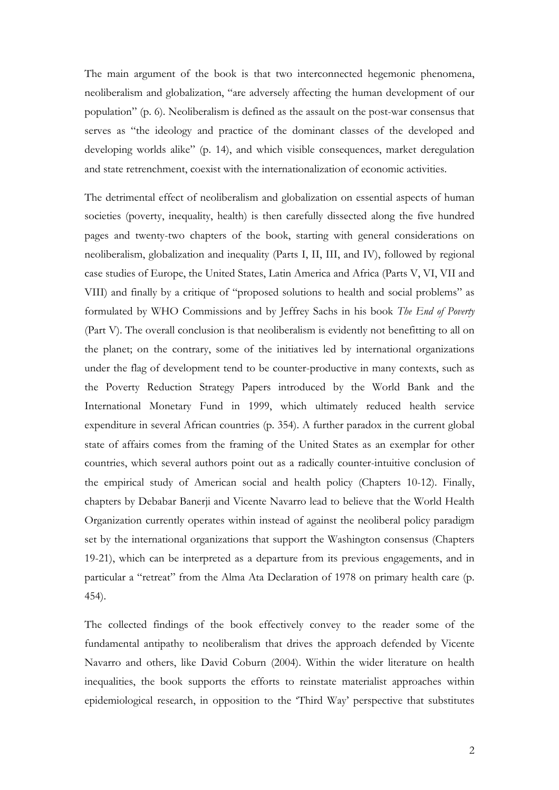The main argument of the book is that two interconnected hegemonic phenomena, neoliberalism and globalization, "are adversely affecting the human development of our population" (p. 6). Neoliberalism is defined as the assault on the post-war consensus that serves as "the ideology and practice of the dominant classes of the developed and developing worlds alike" (p. 14), and which visible consequences, market deregulation and state retrenchment, coexist with the internationalization of economic activities.

The detrimental effect of neoliberalism and globalization on essential aspects of human societies (poverty, inequality, health) is then carefully dissected along the five hundred pages and twenty-two chapters of the book, starting with general considerations on neoliberalism, globalization and inequality (Parts I, II, III, and IV), followed by regional case studies of Europe, the United States, Latin America and Africa (Parts V, VI, VII and VIII) and finally by a critique of "proposed solutions to health and social problems" as formulated by WHO Commissions and by Jeffrey Sachs in his book *The End of Poverty* (Part V). The overall conclusion is that neoliberalism is evidently not benefitting to all on the planet; on the contrary, some of the initiatives led by international organizations under the flag of development tend to be counter-productive in many contexts, such as the Poverty Reduction Strategy Papers introduced by the World Bank and the International Monetary Fund in 1999, which ultimately reduced health service expenditure in several African countries (p. 354). A further paradox in the current global state of affairs comes from the framing of the United States as an exemplar for other countries, which several authors point out as a radically counter-intuitive conclusion of the empirical study of American social and health policy (Chapters 10-12). Finally, chapters by Debabar Banerji and Vicente Navarro lead to believe that the World Health Organization currently operates within instead of against the neoliberal policy paradigm set by the international organizations that support the Washington consensus (Chapters 19-21), which can be interpreted as a departure from its previous engagements, and in particular a "retreat" from the Alma Ata Declaration of 1978 on primary health care (p. 454).

The collected findings of the book effectively convey to the reader some of the fundamental antipathy to neoliberalism that drives the approach defended by Vicente Navarro and others, like David Coburn (2004). Within the wider literature on health inequalities, the book supports the efforts to reinstate materialist approaches within epidemiological research, in opposition to the 'Third Way' perspective that substitutes